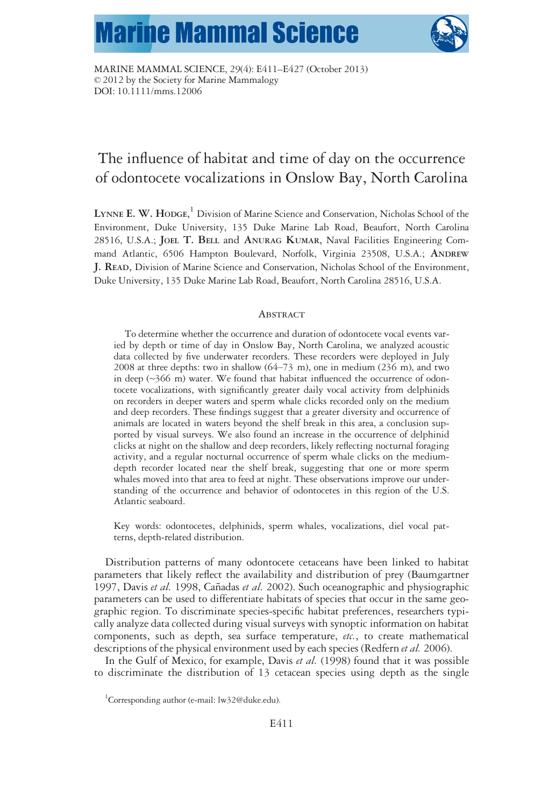# **Marine Mammal Science**



MARINE MAMMAL SCIENCE, 29(4): E411–E427 (October 2013) © 2012 by the Society for Marine Mammalogy DOI: 10.1111/mms.12006

# The influence of habitat and time of day on the occurrence of odontocete vocalizations in Onslow Bay, North Carolina

LYNNE E. W. HODGE,<sup>1</sup> Division of Marine Science and Conservation, Nicholas School of the Environment, Duke University, 135 Duke Marine Lab Road, Beaufort, North Carolina 28516, U.S.A.; JOEL T. BELL and ANURAG KUMAR, Naval Facilities Engineering Command Atlantic, 6506 Hampton Boulevard, Norfolk, Virginia 23508, U.S.A.; ANDREW J. READ, Division of Marine Science and Conservation, Nicholas School of the Environment, Duke University, 135 Duke Marine Lab Road, Beaufort, North Carolina 28516, U.S.A.

### **ABSTRACT**

To determine whether the occurrence and duration of odontocete vocal events varied by depth or time of day in Onslow Bay, North Carolina, we analyzed acoustic data collected by five underwater recorders. These recorders were deployed in July 2008 at three depths: two in shallow (64–73 m), one in medium (236 m), and two in deep  $(\sim]366$  m) water. We found that habitat influenced the occurrence of odontocete vocalizations, with significantly greater daily vocal activity from delphinids on recorders in deeper waters and sperm whale clicks recorded only on the medium and deep recorders. These findings suggest that a greater diversity and occurrence of animals are located in waters beyond the shelf break in this area, a conclusion supported by visual surveys. We also found an increase in the occurrence of delphinid clicks at night on the shallow and deep recorders, likely reflecting nocturnal foraging activity, and a regular nocturnal occurrence of sperm whale clicks on the mediumdepth recorder located near the shelf break, suggesting that one or more sperm whales moved into that area to feed at night. These observations improve our understanding of the occurrence and behavior of odontocetes in this region of the U.S. Atlantic seaboard.

Key words: odontocetes, delphinids, sperm whales, vocalizations, diel vocal patterns, depth-related distribution.

Distribution patterns of many odontocete cetaceans have been linked to habitat parameters that likely reflect the availability and distribution of prey (Baumgartner 1997, Davis et al. 1998, Cañadas et al. 2002). Such oceanographic and physiographic parameters can be used to differentiate habitats of species that occur in the same geographic region. To discriminate species-specific habitat preferences, researchers typically analyze data collected during visual surveys with synoptic information on habitat components, such as depth, sea surface temperature, etc., to create mathematical descriptions of the physical environment used by each species (Redfern et al. 2006).

In the Gulf of Mexico, for example, Davis et al. (1998) found that it was possible to discriminate the distribution of 13 cetacean species using depth as the single

<sup>&</sup>lt;sup>1</sup>Corresponding author (e-mail: lw32@duke.edu).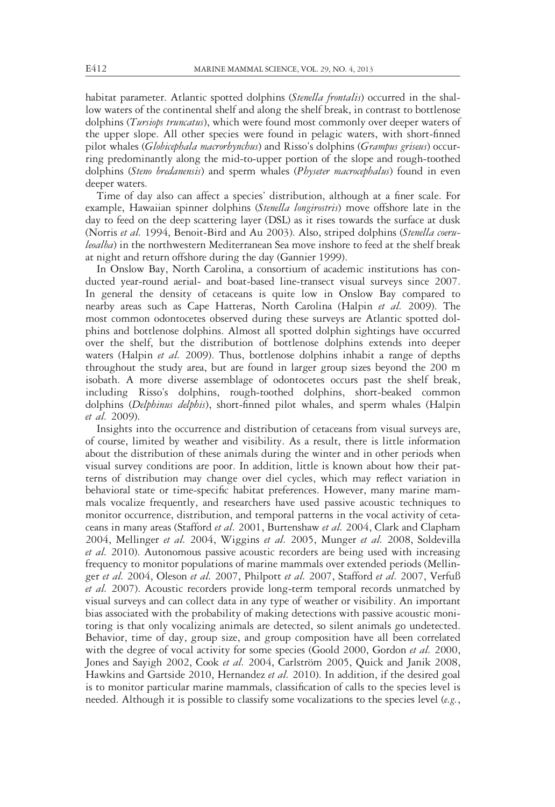habitat parameter. Atlantic spotted dolphins (Stenella frontalis) occurred in the shallow waters of the continental shelf and along the shelf break, in contrast to bottlenose dolphins (Tursiops truncatus), which were found most commonly over deeper waters of the upper slope. All other species were found in pelagic waters, with short-finned pilot whales (*Globicephala macrorhynchus*) and Risso's dolphins (*Grampus griseus*) occurring predominantly along the mid-to-upper portion of the slope and rough-toothed dolphins (*Steno bredanensis*) and sperm whales (*Physeter macrocephalus*) found in even deeper waters.

Time of day also can affect a species' distribution, although at a finer scale. For example, Hawaiian spinner dolphins (Stenella longirostris) move offshore late in the day to feed on the deep scattering layer (DSL) as it rises towards the surface at dusk (Norris et al. 1994, Benoit-Bird and Au 2003). Also, striped dolphins (Stenella coeruleoalba) in the northwestern Mediterranean Sea move inshore to feed at the shelf break at night and return offshore during the day (Gannier 1999).

In Onslow Bay, North Carolina, a consortium of academic institutions has conducted year-round aerial- and boat-based line-transect visual surveys since 2007. In general the density of cetaceans is quite low in Onslow Bay compared to nearby areas such as Cape Hatteras, North Carolina (Halpin et al. 2009). The most common odontocetes observed during these surveys are Atlantic spotted dolphins and bottlenose dolphins. Almost all spotted dolphin sightings have occurred over the shelf, but the distribution of bottlenose dolphins extends into deeper waters (Halpin et al. 2009). Thus, bottlenose dolphins inhabit a range of depths throughout the study area, but are found in larger group sizes beyond the 200 m isobath. A more diverse assemblage of odontocetes occurs past the shelf break, including Risso's dolphins, rough-toothed dolphins, short-beaked common dolphins (Delphinus delphis), short-finned pilot whales, and sperm whales (Halpin et al. 2009).

Insights into the occurrence and distribution of cetaceans from visual surveys are, of course, limited by weather and visibility. As a result, there is little information about the distribution of these animals during the winter and in other periods when visual survey conditions are poor. In addition, little is known about how their patterns of distribution may change over diel cycles, which may reflect variation in behavioral state or time-specific habitat preferences. However, many marine mammals vocalize frequently, and researchers have used passive acoustic techniques to monitor occurrence, distribution, and temporal patterns in the vocal activity of cetaceans in many areas (Stafford et al. 2001, Burtenshaw et al. 2004, Clark and Clapham 2004, Mellinger et al. 2004, Wiggins et al. 2005, Munger et al. 2008, Soldevilla et al. 2010). Autonomous passive acoustic recorders are being used with increasing frequency to monitor populations of marine mammals over extended periods (Mellinger et al. 2004, Oleson et al. 2007, Philpott et al. 2007, Stafford et al. 2007, Verfuß et al. 2007). Acoustic recorders provide long-term temporal records unmatched by visual surveys and can collect data in any type of weather or visibility. An important bias associated with the probability of making detections with passive acoustic monitoring is that only vocalizing animals are detected, so silent animals go undetected. Behavior, time of day, group size, and group composition have all been correlated with the degree of vocal activity for some species (Goold 2000, Gordon et al. 2000, Jones and Sayigh 2002, Cook et al. 2004, Carlström 2005, Quick and Janik 2008, Hawkins and Gartside 2010, Hernandez et al. 2010). In addition, if the desired goal is to monitor particular marine mammals, classification of calls to the species level is needed. Although it is possible to classify some vocalizations to the species level  $(e.g.,)$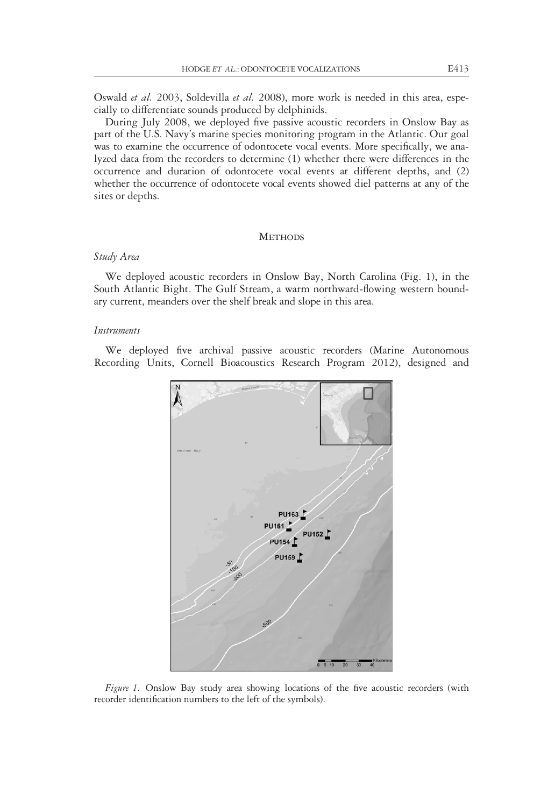Oswald *et al.* 2003, Soldevilla *et al.* 2008), more work is needed in this area, especially to differentiate sounds produced by delphinids.

During July 2008, we deployed five passive acoustic recorders in Onslow Bay as part of the U.S. Navy's marine species monitoring program in the Atlantic. Our goal was to examine the occurrence of odontocete vocal events. More specifically, we analyzed data from the recorders to determine (1) whether there were differences in the occurrence and duration of odontocete vocal events at different depths, and (2) whether the occurrence of odontocete vocal events showed diel patterns at any of the sites or depths.

## **METHODS**

#### Study Area

We deployed acoustic recorders in Onslow Bay, North Carolina (Fig. 1), in the South Atlantic Bight. The Gulf Stream, a warm northward-flowing western boundary current, meanders over the shelf break and slope in this area.

#### Instruments

We deployed five archival passive acoustic recorders (Marine Autonomous Recording Units, Cornell Bioacoustics Research Program 2012), designed and



Figure 1. Onslow Bay study area showing locations of the five acoustic recorders (with recorder identification numbers to the left of the symbols).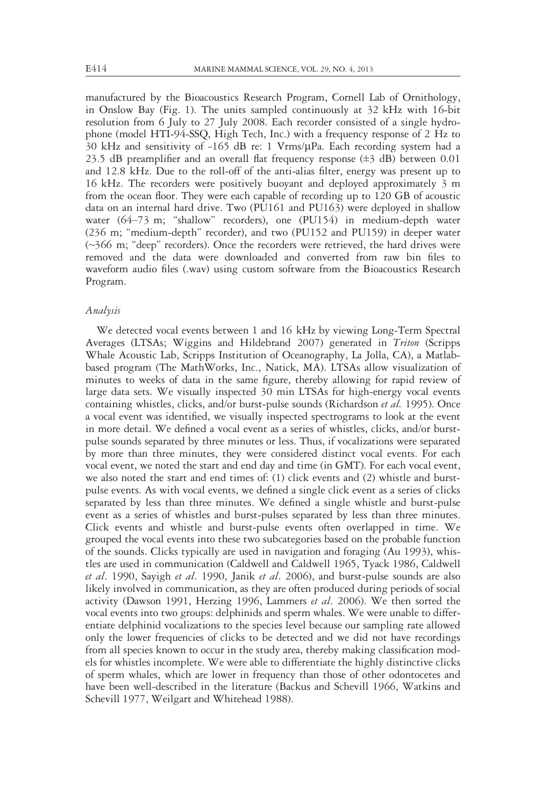manufactured by the Bioacoustics Research Program, Cornell Lab of Ornithology, in Onslow Bay (Fig. 1). The units sampled continuously at 32 kHz with 16-bit resolution from 6 July to 27 July 2008. Each recorder consisted of a single hydrophone (model HTI-94-SSQ, High Tech, Inc.) with a frequency response of 2 Hz to 30 kHz and sensitivity of 165 dB re: 1 Vrms/lPa. Each recording system had a 23.5 dB preamplifier and an overall flat frequency response  $(\pm 3$  dB) between 0.01 and 12.8 kHz. Due to the roll-off of the anti-alias filter, energy was present up to 16 kHz. The recorders were positively buoyant and deployed approximately 3 m from the ocean floor. They were each capable of recording up to 120 GB of acoustic data on an internal hard drive. Two (PU161 and PU163) were deployed in shallow water (64–73 m; "shallow" recorders), one (PU154) in medium-depth water (236 m; "medium-depth" recorder), and two (PU152 and PU159) in deeper water (~366 m; "deep" recorders). Once the recorders were retrieved, the hard drives were removed and the data were downloaded and converted from raw bin files to waveform audio files (.wav) using custom software from the Bioacoustics Research Program.

#### Analysis

We detected vocal events between 1 and 16 kHz by viewing Long-Term Spectral Averages (LTSAs; Wiggins and Hildebrand 2007) generated in Triton (Scripps Whale Acoustic Lab, Scripps Institution of Oceanography, La Jolla, CA), a Matlabbased program (The MathWorks, Inc., Natick, MA). LTSAs allow visualization of minutes to weeks of data in the same figure, thereby allowing for rapid review of large data sets. We visually inspected 30 min LTSAs for high-energy vocal events containing whistles, clicks, and/or burst-pulse sounds (Richardson et al. 1995). Once a vocal event was identified, we visually inspected spectrograms to look at the event in more detail. We defined a vocal event as a series of whistles, clicks, and/or burstpulse sounds separated by three minutes or less. Thus, if vocalizations were separated by more than three minutes, they were considered distinct vocal events. For each vocal event, we noted the start and end day and time (in GMT). For each vocal event, we also noted the start and end times of: (1) click events and (2) whistle and burstpulse events. As with vocal events, we defined a single click event as a series of clicks separated by less than three minutes. We defined a single whistle and burst-pulse event as a series of whistles and burst-pulses separated by less than three minutes. Click events and whistle and burst-pulse events often overlapped in time. We grouped the vocal events into these two subcategories based on the probable function of the sounds. Clicks typically are used in navigation and foraging (Au 1993), whistles are used in communication (Caldwell and Caldwell 1965, Tyack 1986, Caldwell et al. 1990, Sayigh et al. 1990, Janik et al. 2006), and burst-pulse sounds are also likely involved in communication, as they are often produced during periods of social activity (Dawson 1991, Herzing 1996, Lammers et al. 2006). We then sorted the vocal events into two groups: delphinids and sperm whales. We were unable to differentiate delphinid vocalizations to the species level because our sampling rate allowed only the lower frequencies of clicks to be detected and we did not have recordings from all species known to occur in the study area, thereby making classification models for whistles incomplete. We were able to differentiate the highly distinctive clicks of sperm whales, which are lower in frequency than those of other odontocetes and have been well-described in the literature (Backus and Schevill 1966, Watkins and Schevill 1977, Weilgart and Whitehead 1988).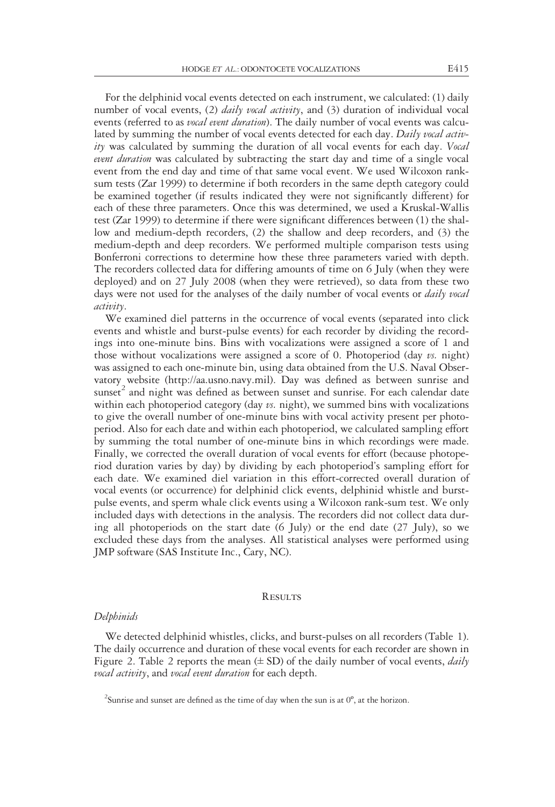For the delphinid vocal events detected on each instrument, we calculated: (1) daily number of vocal events, (2) *daily vocal activity*, and (3) duration of individual vocal events (referred to as *vocal event duration*). The daily number of vocal events was calculated by summing the number of vocal events detected for each day. Daily vocal activity was calculated by summing the duration of all vocal events for each day. Vocal event duration was calculated by subtracting the start day and time of a single vocal event from the end day and time of that same vocal event. We used Wilcoxon ranksum tests (Zar 1999) to determine if both recorders in the same depth category could be examined together (if results indicated they were not significantly different) for each of these three parameters. Once this was determined, we used a Kruskal-Wallis test (Zar 1999) to determine if there were significant differences between (1) the shallow and medium-depth recorders, (2) the shallow and deep recorders, and (3) the medium-depth and deep recorders. We performed multiple comparison tests using Bonferroni corrections to determine how these three parameters varied with depth. The recorders collected data for differing amounts of time on 6 July (when they were deployed) and on 27 July 2008 (when they were retrieved), so data from these two days were not used for the analyses of the daily number of vocal events or *daily vocal* activity.

We examined diel patterns in the occurrence of vocal events (separated into click events and whistle and burst-pulse events) for each recorder by dividing the recordings into one-minute bins. Bins with vocalizations were assigned a score of 1 and those without vocalizations were assigned a score of 0. Photoperiod (day  $v_s$ , night) was assigned to each one-minute bin, using data obtained from the U.S. Naval Observatory website (http://aa.usno.navy.mil). Day was defined as between sunrise and sunset $2$  and night was defined as between sunset and sunrise. For each calendar date within each photoperiod category (day  $v_s$ , night), we summed bins with vocalizations to give the overall number of one-minute bins with vocal activity present per photoperiod. Also for each date and within each photoperiod, we calculated sampling effort by summing the total number of one-minute bins in which recordings were made. Finally, we corrected the overall duration of vocal events for effort (because photoperiod duration varies by day) by dividing by each photoperiod's sampling effort for each date. We examined diel variation in this effort-corrected overall duration of vocal events (or occurrence) for delphinid click events, delphinid whistle and burstpulse events, and sperm whale click events using a Wilcoxon rank-sum test. We only included days with detections in the analysis. The recorders did not collect data during all photoperiods on the start date (6 July) or the end date (27 July), so we excluded these days from the analyses. All statistical analyses were performed using JMP software (SAS Institute Inc., Cary, NC).

#### **RESULTS**

# Delphinids

We detected delphinid whistles, clicks, and burst-pulses on all recorders (Table 1). The daily occurrence and duration of these vocal events for each recorder are shown in Figure 2. Table 2 reports the mean  $(\pm SD)$  of the daily number of vocal events,  $daily$ vocal activity, and vocal event duration for each depth.

<sup>&</sup>lt;sup>2</sup>Sunrise and sunset are defined as the time of day when the sun is at  $0^{\circ}$ , at the horizon.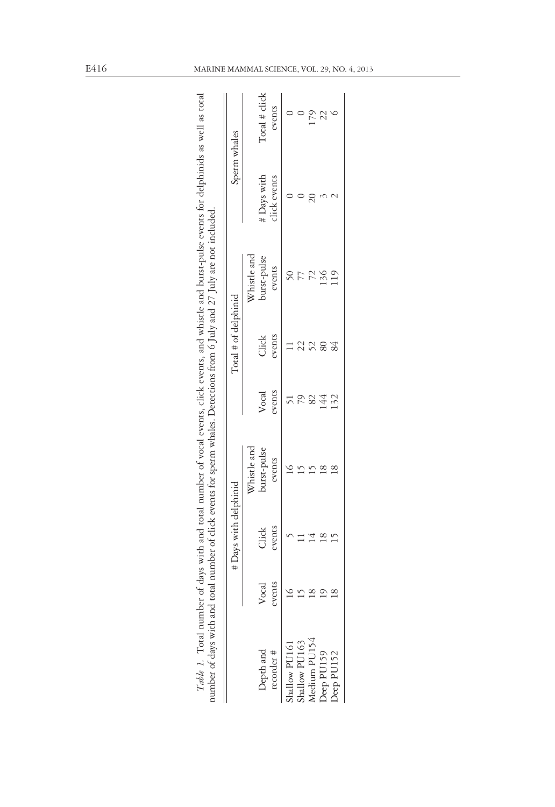| r of days with and total number of vocal events, click events, and whistle and burst-pulse events for delphinids as well as total |                                                                                                     |
|-----------------------------------------------------------------------------------------------------------------------------------|-----------------------------------------------------------------------------------------------------|
|                                                                                                                                   |                                                                                                     |
| $\ddot{\phantom{0}}$                                                                                                              |                                                                                                     |
|                                                                                                                                   |                                                                                                     |
|                                                                                                                                   |                                                                                                     |
|                                                                                                                                   |                                                                                                     |
|                                                                                                                                   |                                                                                                     |
|                                                                                                                                   |                                                                                                     |
|                                                                                                                                   |                                                                                                     |
|                                                                                                                                   |                                                                                                     |
|                                                                                                                                   |                                                                                                     |
|                                                                                                                                   |                                                                                                     |
|                                                                                                                                   |                                                                                                     |
|                                                                                                                                   |                                                                                                     |
|                                                                                                                                   |                                                                                                     |
|                                                                                                                                   |                                                                                                     |
|                                                                                                                                   |                                                                                                     |
|                                                                                                                                   |                                                                                                     |
|                                                                                                                                   |                                                                                                     |
|                                                                                                                                   |                                                                                                     |
|                                                                                                                                   |                                                                                                     |
|                                                                                                                                   |                                                                                                     |
|                                                                                                                                   | 4 total number of click events for sperm whales. Detections from 6 July and 27 July are not include |
|                                                                                                                                   |                                                                                                     |
|                                                                                                                                   |                                                                                                     |
|                                                                                                                                   |                                                                                                     |
|                                                                                                                                   |                                                                                                     |
|                                                                                                                                   |                                                                                                     |

|                          |                 | # Days with delphinid |                       |                 | Total # of delphinid |                       | Sperm whales                |                         |
|--------------------------|-----------------|-----------------------|-----------------------|-----------------|----------------------|-----------------------|-----------------------------|-------------------------|
|                          |                 |                       | Whistle and           |                 |                      | Whistle and           |                             |                         |
| recorder #<br>Depth and  | events<br>Vocal | events<br>Click       | burst-pulse<br>events | events<br>Vocal | events<br>Click      | burst-pulse<br>events | # Days with<br>click events | Total # click<br>events |
| shallow PU161            |                 |                       |                       |                 |                      |                       |                             |                         |
| hallow PU163             |                 |                       |                       |                 | 22                   |                       |                             |                         |
| Medium PU154             |                 |                       |                       |                 |                      |                       |                             | 56                      |
|                          |                 |                       |                       | 44              |                      | 136                   |                             |                         |
| Deep PU159<br>Deep PU152 |                 |                       |                       | 132             |                      | 119                   |                             |                         |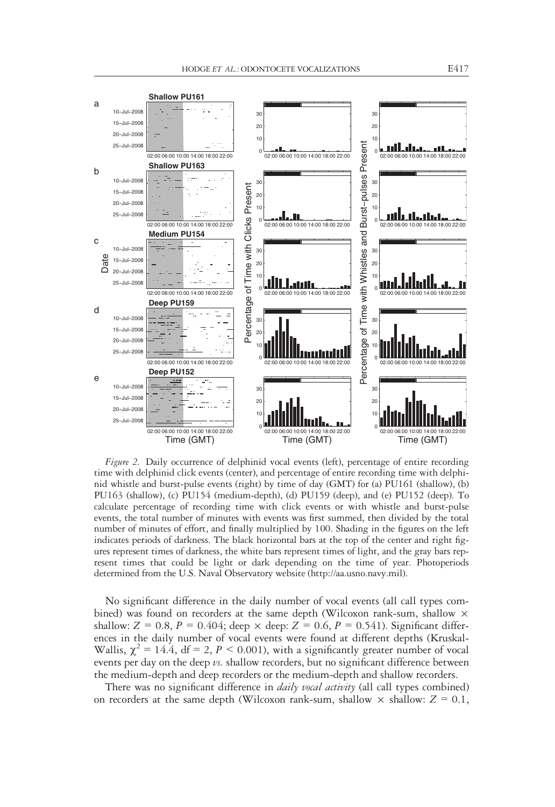

Figure 2. Daily occurrence of delphinid vocal events (left), percentage of entire recording time with delphinid click events (center), and percentage of entire recording time with delphinid whistle and burst-pulse events (right) by time of day (GMT) for (a) PU161 (shallow), (b) PU163 (shallow), (c) PU154 (medium-depth), (d) PU159 (deep), and (e) PU152 (deep). To calculate percentage of recording time with click events or with whistle and burst-pulse events, the total number of minutes with events was first summed, then divided by the total number of minutes of effort, and finally multiplied by 100. Shading in the figures on the left indicates periods of darkness. The black horizontal bars at the top of the center and right figures represent times of darkness, the white bars represent times of light, and the gray bars represent times that could be light or dark depending on the time of year. Photoperiods determined from the U.S. Naval Observatory website (http://aa.usno.navy.mil).

No significant difference in the daily number of vocal events (all call types combined) was found on recorders at the same depth (Wilcoxon rank-sum, shallow  $\times$ shallow:  $Z = 0.8$ ,  $P = 0.404$ ; deep  $\times$  deep:  $Z = 0.6$ ,  $P = 0.541$ ). Significant differences in the daily number of vocal events were found at different depths (Kruskal-Wallis,  $\chi^2 = 14.4$ , df = 2, P < 0.001), with a significantly greater number of vocal events per day on the deep  $\nu s$ . shallow recorders, but no significant difference between the medium-depth and deep recorders or the medium-depth and shallow recorders.

There was no significant difference in *daily vocal activity* (all call types combined) on recorders at the same depth (Wilcoxon rank-sum, shallow  $\times$  shallow:  $Z = 0.1$ ,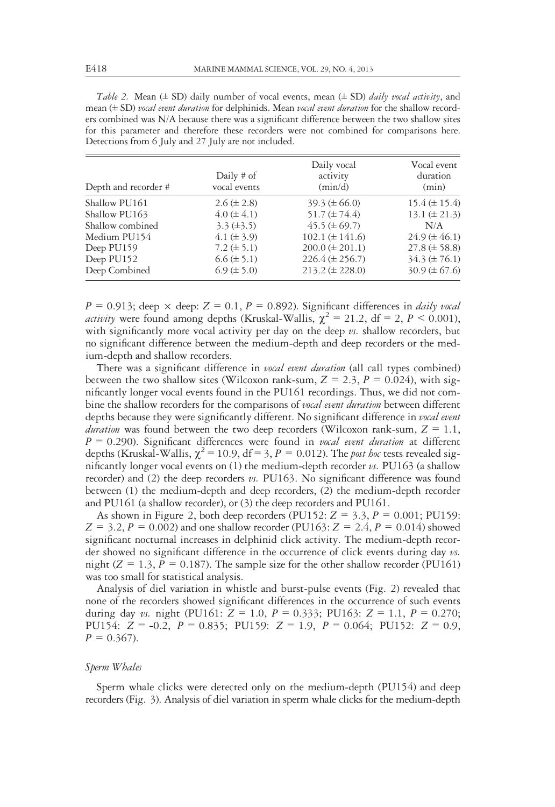Table 2. Mean ( $\pm$  SD) daily number of vocal events, mean ( $\pm$  SD) daily vocal activity, and mean  $(\pm SD)$  vocal event duration for delphinids. Mean vocal event duration for the shallow recorders combined was N/A because there was a significant difference between the two shallow sites for this parameter and therefore these recorders were not combined for comparisons here. Detections from 6 July and 27 July are not included.

| Depth and recorder # | Daily $#$ of<br>vocal events | Daily vocal<br>activity<br>(min/d) | Vocal event<br>duration<br>(min) |
|----------------------|------------------------------|------------------------------------|----------------------------------|
| Shallow PU161        | $2.6 (\pm 2.8)$              | $39.3 \ (\pm 66.0)$                | $15.4 (\pm 15.4)$                |
| Shallow PU163        | $4.0 \ (\pm 4.1)$            | $51.7 (\pm 74.4)$                  | $13.1 (\pm 21.3)$                |
| Shallow combined     | $3.3 (\pm 3.5)$              | $45.5 \ (\pm 69.7)$                | N/A                              |
| Medium PU154         | 4.1 ( $\pm$ 3.9)             | $102.1 \ (\pm 141.6)$              | $24.9 \ (\pm 46.1)$              |
| Deep PU159           | $7.2 (\pm 5.1)$              | $200.0 \ (\pm 201.1)$              | $27.8 (\pm 58.8)$                |
| Deep PU152           | $6.6 \ (\pm 5.1)$            | $226.4 (\pm 256.7)$                | $34.3 (\pm 76.1)$                |
| Deep Combined        | $6.9 \ (\pm 5.0)$            | $213.2 \ (\pm 228.0)$              | $30.9 \ (\pm 67.6)$              |

 $P = 0.913$ ; deep  $\times$  deep:  $Z = 0.1$ ,  $P = 0.892$ ). Significant differences in *daily vocal activity* were found among depths (Kruskal-Wallis,  $\chi^2 = 21.2$ , df = 2, P < 0.001), with significantly more vocal activity per day on the deep  $\nu s$ . shallow recorders, but no significant difference between the medium-depth and deep recorders or the medium-depth and shallow recorders.

There was a significant difference in *vocal event duration* (all call types combined) between the two shallow sites (Wilcoxon rank-sum,  $Z = 2.3$ ,  $P = 0.024$ ), with significantly longer vocal events found in the PU161 recordings. Thus, we did not combine the shallow recorders for the comparisons of vocal event duration between different depths because they were significantly different. No significant difference in vocal event *duration* was found between the two deep recorders (Wilcoxon rank-sum,  $Z = 1.1$ ,  $P = 0.290$ ). Significant differences were found in vocal event duration at different depths (Kruskal-Wallis,  $\chi^2 = 10.9$ , df = 3, P = 0.012). The post hoc tests revealed significantly longer vocal events on  $(1)$  the medium-depth recorder vs. PU163 (a shallow recorder) and (2) the deep recorders  $v_s$ . PU163. No significant difference was found between (1) the medium-depth and deep recorders, (2) the medium-depth recorder and PU161 (a shallow recorder), or (3) the deep recorders and PU161.

As shown in Figure 2, both deep recorders (PU152:  $Z = 3.3$ ,  $P = 0.001$ ; PU159:  $Z = 3.2, P = 0.002$  and one shallow recorder (PU163:  $Z = 2.4, P = 0.014$ ) showed significant nocturnal increases in delphinid click activity. The medium-depth recorder showed no significant difference in the occurrence of click events during day vs. night ( $Z = 1.3$ ,  $P = 0.187$ ). The sample size for the other shallow recorder (PU161) was too small for statistical analysis.

Analysis of diel variation in whistle and burst-pulse events (Fig. 2) revealed that none of the recorders showed significant differences in the occurrence of such events during day vs. night (PU161:  $Z = 1.0$ ,  $P = 0.333$ ; PU163:  $Z = 1.1$ ,  $P = 0.270$ ; PU154:  $Z = -0.2$ ,  $P = 0.835$ ; PU159:  $Z = 1.9$ ,  $P = 0.064$ ; PU152:  $Z = 0.9$ ,  $P = 0.367$ .

# Sperm Whales

Sperm whale clicks were detected only on the medium-depth (PU154) and deep recorders (Fig. 3). Analysis of diel variation in sperm whale clicks for the medium-depth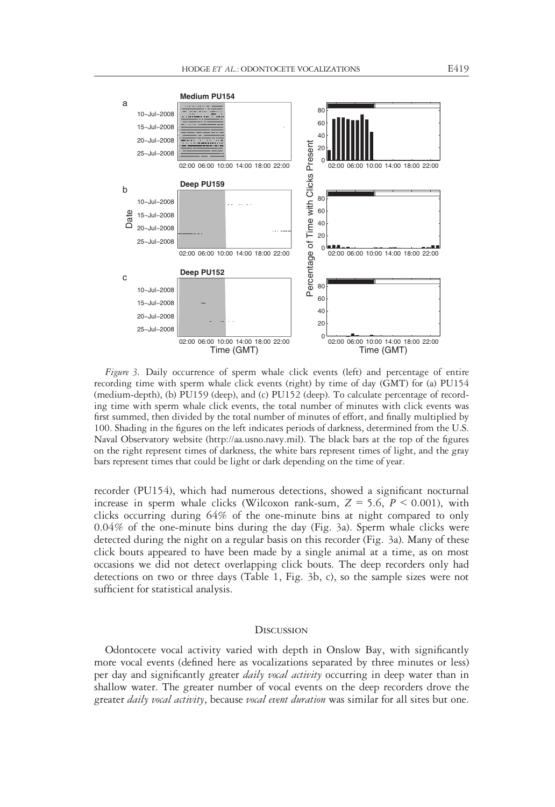

Figure 3. Daily occurrence of sperm whale click events (left) and percentage of entire recording time with sperm whale click events (right) by time of day (GMT) for (a) PU154 (medium-depth), (b) PU159 (deep), and (c) PU152 (deep). To calculate percentage of recording time with sperm whale click events, the total number of minutes with click events was first summed, then divided by the total number of minutes of effort, and finally multiplied by 100. Shading in the figures on the left indicates periods of darkness, determined from the U.S. Naval Observatory website (http://aa.usno.navy.mil). The black bars at the top of the figures on the right represent times of darkness, the white bars represent times of light, and the gray bars represent times that could be light or dark depending on the time of year.

recorder (PU154), which had numerous detections, showed a significant nocturnal increase in sperm whale clicks (Wilcoxon rank-sum,  $Z = 5.6$ ,  $P \le 0.001$ ), with clicks occurring during 64% of the one-minute bins at night compared to only 0.04% of the one-minute bins during the day (Fig. 3a). Sperm whale clicks were detected during the night on a regular basis on this recorder (Fig. 3a). Many of these click bouts appeared to have been made by a single animal at a time, as on most occasions we did not detect overlapping click bouts. The deep recorders only had detections on two or three days (Table 1, Fig. 3b, c), so the sample sizes were not sufficient for statistical analysis.

#### **DISCUSSION**

Odontocete vocal activity varied with depth in Onslow Bay, with significantly more vocal events (defined here as vocalizations separated by three minutes or less) per day and significantly greater *daily vocal activity* occurring in deep water than in shallow water. The greater number of vocal events on the deep recorders drove the greater *daily vocal activity*, because *vocal event duration* was similar for all sites but one.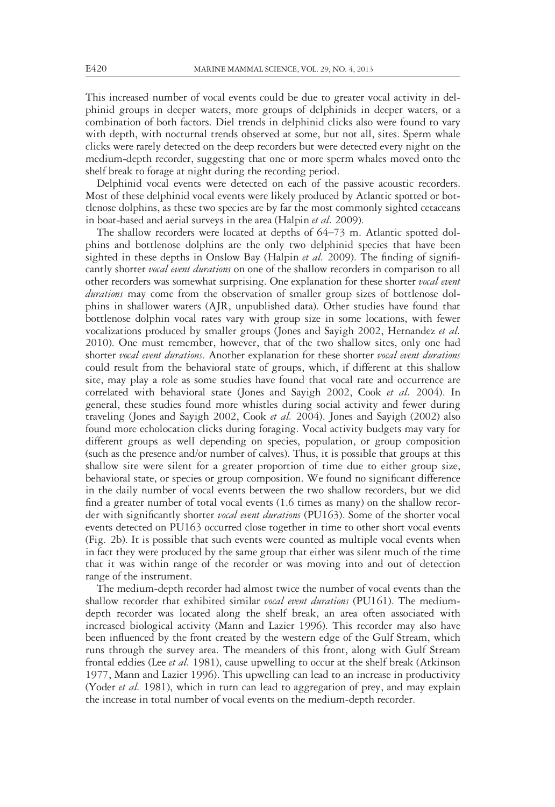This increased number of vocal events could be due to greater vocal activity in delphinid groups in deeper waters, more groups of delphinids in deeper waters, or a combination of both factors. Diel trends in delphinid clicks also were found to vary with depth, with nocturnal trends observed at some, but not all, sites. Sperm whale clicks were rarely detected on the deep recorders but were detected every night on the medium-depth recorder, suggesting that one or more sperm whales moved onto the shelf break to forage at night during the recording period.

Delphinid vocal events were detected on each of the passive acoustic recorders. Most of these delphinid vocal events were likely produced by Atlantic spotted or bottlenose dolphins, as these two species are by far the most commonly sighted cetaceans in boat-based and aerial surveys in the area (Halpin et al. 2009).

The shallow recorders were located at depths of 64–73 m. Atlantic spotted dolphins and bottlenose dolphins are the only two delphinid species that have been sighted in these depths in Onslow Bay (Halpin *et al.* 2009). The finding of significantly shorter *vocal event durations* on one of the shallow recorders in comparison to all other recorders was somewhat surprising. One explanation for these shorter *vocal event* durations may come from the observation of smaller group sizes of bottlenose dolphins in shallower waters (AJR, unpublished data). Other studies have found that bottlenose dolphin vocal rates vary with group size in some locations, with fewer vocalizations produced by smaller groups (Jones and Sayigh 2002, Hernandez et al. 2010). One must remember, however, that of the two shallow sites, only one had shorter vocal event durations. Another explanation for these shorter vocal event durations could result from the behavioral state of groups, which, if different at this shallow site, may play a role as some studies have found that vocal rate and occurrence are correlated with behavioral state (Jones and Sayigh 2002, Cook et al. 2004). In general, these studies found more whistles during social activity and fewer during traveling (Jones and Sayigh 2002, Cook et al. 2004). Jones and Sayigh (2002) also found more echolocation clicks during foraging. Vocal activity budgets may vary for different groups as well depending on species, population, or group composition (such as the presence and/or number of calves). Thus, it is possible that groups at this shallow site were silent for a greater proportion of time due to either group size, behavioral state, or species or group composition. We found no significant difference in the daily number of vocal events between the two shallow recorders, but we did find a greater number of total vocal events (1.6 times as many) on the shallow recorder with significantly shorter *vocal event durations* (PU163). Some of the shorter vocal events detected on PU163 occurred close together in time to other short vocal events (Fig. 2b). It is possible that such events were counted as multiple vocal events when in fact they were produced by the same group that either was silent much of the time that it was within range of the recorder or was moving into and out of detection range of the instrument.

The medium-depth recorder had almost twice the number of vocal events than the shallow recorder that exhibited similar *vocal event durations* (PU161). The mediumdepth recorder was located along the shelf break, an area often associated with increased biological activity (Mann and Lazier 1996). This recorder may also have been influenced by the front created by the western edge of the Gulf Stream, which runs through the survey area. The meanders of this front, along with Gulf Stream frontal eddies (Lee et al. 1981), cause upwelling to occur at the shelf break (Atkinson 1977, Mann and Lazier 1996). This upwelling can lead to an increase in productivity (Yoder et al. 1981), which in turn can lead to aggregation of prey, and may explain the increase in total number of vocal events on the medium-depth recorder.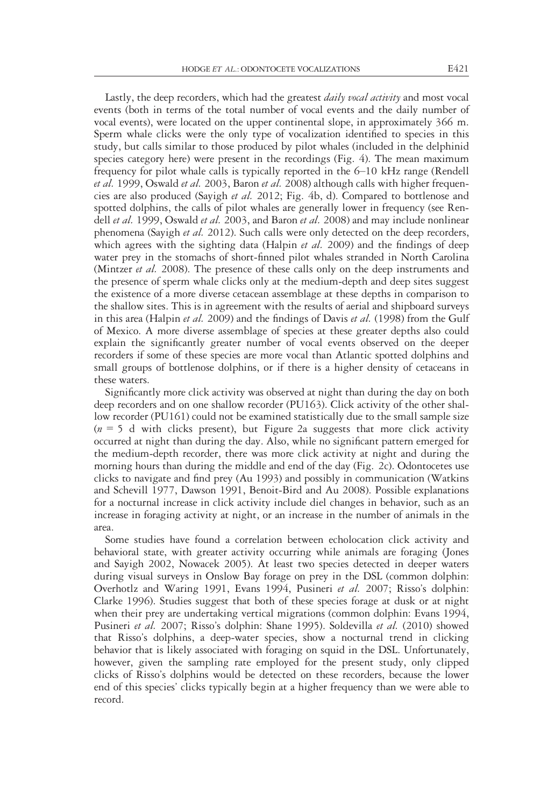Lastly, the deep recorders, which had the greatest *daily vocal activity* and most vocal events (both in terms of the total number of vocal events and the daily number of vocal events), were located on the upper continental slope, in approximately 366 m. Sperm whale clicks were the only type of vocalization identified to species in this study, but calls similar to those produced by pilot whales (included in the delphinid species category here) were present in the recordings (Fig. 4). The mean maximum frequency for pilot whale calls is typically reported in the 6–10 kHz range (Rendell et al. 1999, Oswald et al. 2003, Baron et al. 2008) although calls with higher frequencies are also produced (Sayigh et al. 2012; Fig. 4b, d). Compared to bottlenose and spotted dolphins, the calls of pilot whales are generally lower in frequency (see Rendell et al. 1999, Oswald et al. 2003, and Baron et al. 2008) and may include nonlinear phenomena (Sayigh et al. 2012). Such calls were only detected on the deep recorders, which agrees with the sighting data (Halpin *et al.* 2009) and the findings of deep water prey in the stomachs of short-finned pilot whales stranded in North Carolina (Mintzer *et al.* 2008). The presence of these calls only on the deep instruments and the presence of sperm whale clicks only at the medium-depth and deep sites suggest the existence of a more diverse cetacean assemblage at these depths in comparison to the shallow sites. This is in agreement with the results of aerial and shipboard surveys in this area (Halpin *et al.* 2009) and the findings of Davis *et al.* (1998) from the Gulf of Mexico. A more diverse assemblage of species at these greater depths also could explain the significantly greater number of vocal events observed on the deeper recorders if some of these species are more vocal than Atlantic spotted dolphins and small groups of bottlenose dolphins, or if there is a higher density of cetaceans in these waters.

Significantly more click activity was observed at night than during the day on both deep recorders and on one shallow recorder (PU163). Click activity of the other shallow recorder (PU161) could not be examined statistically due to the small sample size  $(n = 5$  d with clicks present), but Figure 2a suggests that more click activity occurred at night than during the day. Also, while no significant pattern emerged for the medium-depth recorder, there was more click activity at night and during the morning hours than during the middle and end of the day (Fig. 2c). Odontocetes use clicks to navigate and find prey (Au 1993) and possibly in communication (Watkins and Schevill 1977, Dawson 1991, Benoit-Bird and Au 2008). Possible explanations for a nocturnal increase in click activity include diel changes in behavior, such as an increase in foraging activity at night, or an increase in the number of animals in the area.

Some studies have found a correlation between echolocation click activity and behavioral state, with greater activity occurring while animals are foraging (Jones and Sayigh 2002, Nowacek 2005). At least two species detected in deeper waters during visual surveys in Onslow Bay forage on prey in the DSL (common dolphin: Overhotlz and Waring 1991, Evans 1994, Pusineri et al. 2007; Risso's dolphin: Clarke 1996). Studies suggest that both of these species forage at dusk or at night when their prey are undertaking vertical migrations (common dolphin: Evans 1994, Pusineri et al. 2007; Risso's dolphin: Shane 1995). Soldevilla et al. (2010) showed that Risso's dolphins, a deep-water species, show a nocturnal trend in clicking behavior that is likely associated with foraging on squid in the DSL. Unfortunately, however, given the sampling rate employed for the present study, only clipped clicks of Risso's dolphins would be detected on these recorders, because the lower end of this species' clicks typically begin at a higher frequency than we were able to record.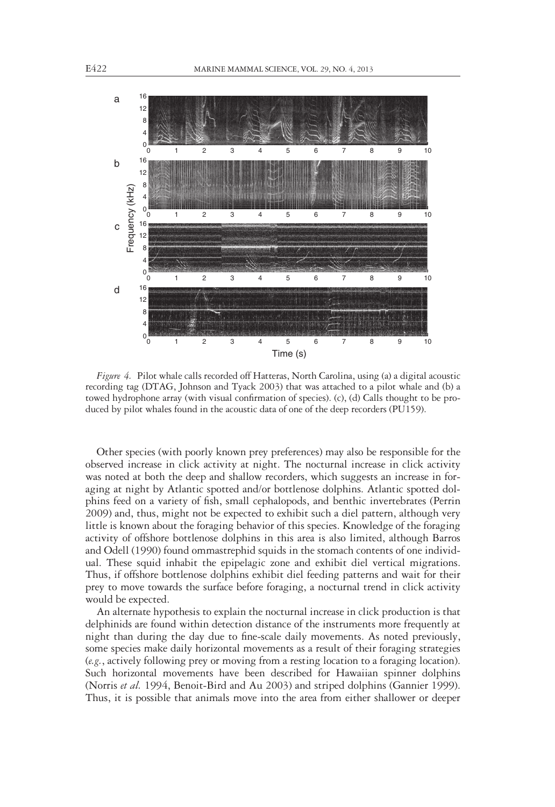

Figure 4. Pilot whale calls recorded off Hatteras, North Carolina, using (a) a digital acoustic recording tag (DTAG, Johnson and Tyack 2003) that was attached to a pilot whale and (b) a towed hydrophone array (with visual confirmation of species). (c), (d) Calls thought to be produced by pilot whales found in the acoustic data of one of the deep recorders (PU159).

Other species (with poorly known prey preferences) may also be responsible for the observed increase in click activity at night. The nocturnal increase in click activity was noted at both the deep and shallow recorders, which suggests an increase in foraging at night by Atlantic spotted and/or bottlenose dolphins. Atlantic spotted dolphins feed on a variety of fish, small cephalopods, and benthic invertebrates (Perrin 2009) and, thus, might not be expected to exhibit such a diel pattern, although very little is known about the foraging behavior of this species. Knowledge of the foraging activity of offshore bottlenose dolphins in this area is also limited, although Barros and Odell (1990) found ommastrephid squids in the stomach contents of one individual. These squid inhabit the epipelagic zone and exhibit diel vertical migrations. Thus, if offshore bottlenose dolphins exhibit diel feeding patterns and wait for their prey to move towards the surface before foraging, a nocturnal trend in click activity would be expected.

An alternate hypothesis to explain the nocturnal increase in click production is that delphinids are found within detection distance of the instruments more frequently at night than during the day due to fine-scale daily movements. As noted previously, some species make daily horizontal movements as a result of their foraging strategies (e.g., actively following prey or moving from a resting location to a foraging location). Such horizontal movements have been described for Hawaiian spinner dolphins (Norris et al. 1994, Benoit-Bird and Au 2003) and striped dolphins (Gannier 1999). Thus, it is possible that animals move into the area from either shallower or deeper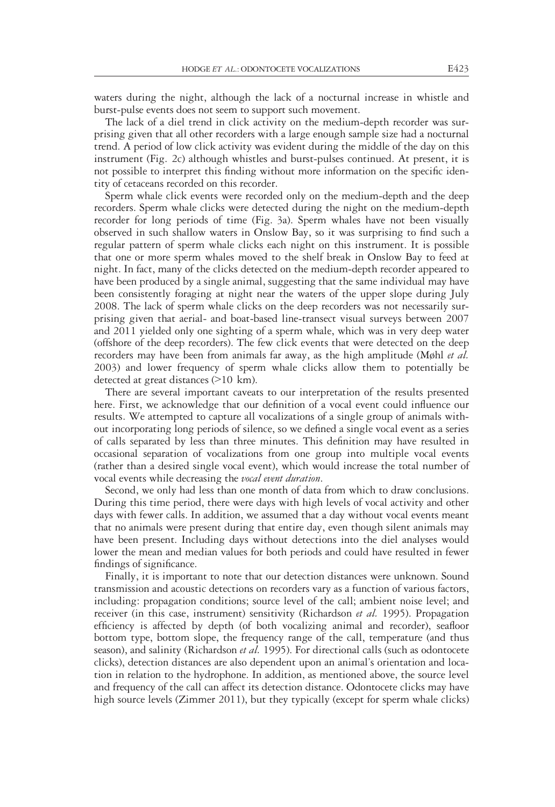waters during the night, although the lack of a nocturnal increase in whistle and burst-pulse events does not seem to support such movement.

The lack of a diel trend in click activity on the medium-depth recorder was surprising given that all other recorders with a large enough sample size had a nocturnal trend. A period of low click activity was evident during the middle of the day on this instrument (Fig. 2c) although whistles and burst-pulses continued. At present, it is not possible to interpret this finding without more information on the specific identity of cetaceans recorded on this recorder.

Sperm whale click events were recorded only on the medium-depth and the deep recorders. Sperm whale clicks were detected during the night on the medium-depth recorder for long periods of time (Fig. 3a). Sperm whales have not been visually observed in such shallow waters in Onslow Bay, so it was surprising to find such a regular pattern of sperm whale clicks each night on this instrument. It is possible that one or more sperm whales moved to the shelf break in Onslow Bay to feed at night. In fact, many of the clicks detected on the medium-depth recorder appeared to have been produced by a single animal, suggesting that the same individual may have been consistently foraging at night near the waters of the upper slope during July 2008. The lack of sperm whale clicks on the deep recorders was not necessarily surprising given that aerial- and boat-based line-transect visual surveys between 2007 and 2011 yielded only one sighting of a sperm whale, which was in very deep water (offshore of the deep recorders). The few click events that were detected on the deep recorders may have been from animals far away, as the high amplitude (Møhl *et al.*) 2003) and lower frequency of sperm whale clicks allow them to potentially be detected at great distances (>10 km).

There are several important caveats to our interpretation of the results presented here. First, we acknowledge that our definition of a vocal event could influence our results. We attempted to capture all vocalizations of a single group of animals without incorporating long periods of silence, so we defined a single vocal event as a series of calls separated by less than three minutes. This definition may have resulted in occasional separation of vocalizations from one group into multiple vocal events (rather than a desired single vocal event), which would increase the total number of vocal events while decreasing the vocal event duration.

Second, we only had less than one month of data from which to draw conclusions. During this time period, there were days with high levels of vocal activity and other days with fewer calls. In addition, we assumed that a day without vocal events meant that no animals were present during that entire day, even though silent animals may have been present. Including days without detections into the diel analyses would lower the mean and median values for both periods and could have resulted in fewer findings of significance.

Finally, it is important to note that our detection distances were unknown. Sound transmission and acoustic detections on recorders vary as a function of various factors, including: propagation conditions; source level of the call; ambient noise level; and receiver (in this case, instrument) sensitivity (Richardson et al. 1995). Propagation efficiency is affected by depth (of both vocalizing animal and recorder), seafloor bottom type, bottom slope, the frequency range of the call, temperature (and thus season), and salinity (Richardson et al. 1995). For directional calls (such as odontocete clicks), detection distances are also dependent upon an animal's orientation and location in relation to the hydrophone. In addition, as mentioned above, the source level and frequency of the call can affect its detection distance. Odontocete clicks may have high source levels (Zimmer 2011), but they typically (except for sperm whale clicks)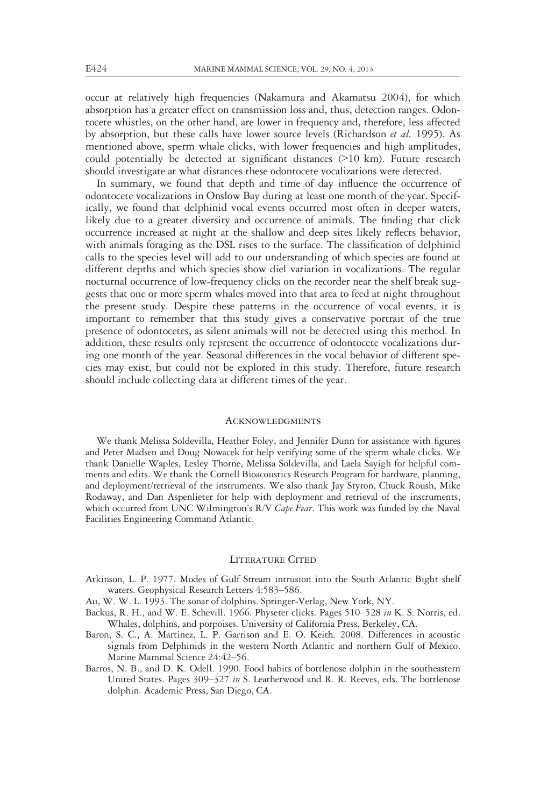occur at relatively high frequencies (Nakamura and Akamatsu 2004), for which absorption has a greater effect on transmission loss and, thus, detection ranges. Odontocete whistles, on the other hand, are lower in frequency and, therefore, less affected by absorption, but these calls have lower source levels (Richardson et al. 1995). As mentioned above, sperm whale clicks, with lower frequencies and high amplitudes, could potentially be detected at significant distances (>10 km). Future research should investigate at what distances these odontocete vocalizations were detected.

In summary, we found that depth and time of day influence the occurrence of odontocete vocalizations in Onslow Bay during at least one month of the year. Specifically, we found that delphinid vocal events occurred most often in deeper waters, likely due to a greater diversity and occurrence of animals. The finding that click occurrence increased at night at the shallow and deep sites likely reflects behavior, with animals foraging as the DSL rises to the surface. The classification of delphinid calls to the species level will add to our understanding of which species are found at different depths and which species show diel variation in vocalizations. The regular nocturnal occurrence of low-frequency clicks on the recorder near the shelf break suggests that one or more sperm whales moved into that area to feed at night throughout the present study. Despite these patterns in the occurrence of vocal events, it is important to remember that this study gives a conservative portrait of the true presence of odontocetes, as silent animals will not be detected using this method. In addition, these results only represent the occurrence of odontocete vocalizations during one month of the year. Seasonal differences in the vocal behavior of different species may exist, but could not be explored in this study. Therefore, future research should include collecting data at different times of the year.

#### **ACKNOWLEDGMENTS**

We thank Melissa Soldevilla, Heather Foley, and Jennifer Dunn for assistance with figures and Peter Madsen and Doug Nowacek for help verifying some of the sperm whale clicks. We thank Danielle Waples, Lesley Thorne, Melissa Soldevilla, and Laela Sayigh for helpful comments and edits. We thank the Cornell Bioacoustics Research Program for hardware, planning, and deployment/retrieval of the instruments. We also thank Jay Styron, Chuck Roush, Mike Rodaway, and Dan Aspenlieter for help with deployment and retrieval of the instruments, which occurred from UNC Wilmington's R/V Cape Fear. This work was funded by the Naval Facilities Engineering Command Atlantic.

# LITERATURE CITED

- Atkinson, L. P. 1977. Modes of Gulf Stream intrusion into the South Atlantic Bight shelf waters. Geophysical Research Letters 4:583–586.
- Au, W. W. L. 1993. The sonar of dolphins. Springer-Verlag, New York, NY.
- Backus, R. H., and W. E. Schevill. 1966. Physeter clicks. Pages 510–528 in K. S. Norris, ed. Whales, dolphins, and porpoises. University of California Press, Berkeley, CA.
- Baron, S. C., A. Martinez, L. P. Garrison and E. O. Keith. 2008. Differences in acoustic signals from Delphinids in the western North Atlantic and northern Gulf of Mexico. Marine Mammal Science 24:42–56.
- Barros, N. B., and D. K. Odell. 1990. Food habits of bottlenose dolphin in the southeastern United States. Pages 309–327 in S. Leatherwood and R. R. Reeves, eds. The bottlenose dolphin. Academic Press, San Diego, CA.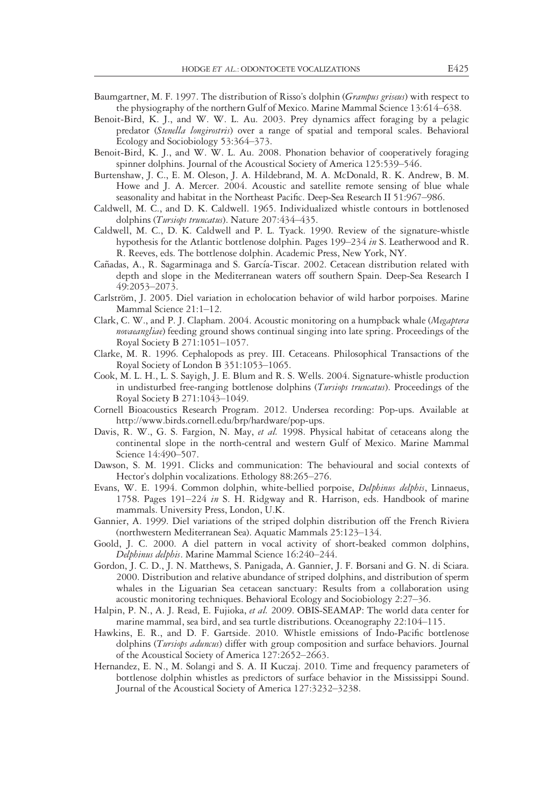- Baumgartner, M. F. 1997. The distribution of Risso's dolphin (Grampus griseus) with respect to the physiography of the northern Gulf of Mexico. Marine Mammal Science 13:614–638.
- Benoit-Bird, K. J., and W. W. L. Au. 2003. Prey dynamics affect foraging by a pelagic predator (Stenella longirostris) over a range of spatial and temporal scales. Behavioral Ecology and Sociobiology 53:364–373.
- Benoit-Bird, K. J., and W. W. L. Au. 2008. Phonation behavior of cooperatively foraging spinner dolphins. Journal of the Acoustical Society of America 125:539–546.
- Burtenshaw, J. C., E. M. Oleson, J. A. Hildebrand, M. A. McDonald, R. K. Andrew, B. M. Howe and J. A. Mercer. 2004. Acoustic and satellite remote sensing of blue whale seasonality and habitat in the Northeast Pacific. Deep-Sea Research II 51:967–986.
- Caldwell, M. C., and D. K. Caldwell. 1965. Individualized whistle contours in bottlenosed dolphins (Tursiops truncatus). Nature 207:434-435.
- Caldwell, M. C., D. K. Caldwell and P. L. Tyack. 1990. Review of the signature-whistle hypothesis for the Atlantic bottlenose dolphin. Pages 199–234 in S. Leatherwood and R. R. Reeves, eds. The bottlenose dolphin. Academic Press, New York, NY.
- Cañadas, A., R. Sagarminaga and S. García-Tiscar. 2002. Cetacean distribution related with depth and slope in the Mediterranean waters off southern Spain. Deep-Sea Research I 49:2053–2073.
- Carlström, J. 2005. Diel variation in echolocation behavior of wild harbor porpoises. Marine Mammal Science 21:1–12.
- Clark, C. W., and P. J. Clapham. 2004. Acoustic monitoring on a humpback whale (Megaptera novaeangliae) feeding ground shows continual singing into late spring. Proceedings of the Royal Society B 271:1051–1057.
- Clarke, M. R. 1996. Cephalopods as prey. III. Cetaceans. Philosophical Transactions of the Royal Society of London B 351:1053–1065.
- Cook, M. L. H., L. S. Sayigh, J. E. Blum and R. S. Wells. 2004. Signature-whistle production in undisturbed free-ranging bottlenose dolphins (Tursiops truncatus). Proceedings of the Royal Society B 271:1043–1049.
- Cornell Bioacoustics Research Program. 2012. Undersea recording: Pop-ups. Available at http://www.birds.cornell.edu/brp/hardware/pop-ups.
- Davis, R. W., G. S. Fargion, N. May, et al. 1998. Physical habitat of cetaceans along the continental slope in the north-central and western Gulf of Mexico. Marine Mammal Science 14:490–507.
- Dawson, S. M. 1991. Clicks and communication: The behavioural and social contexts of Hector's dolphin vocalizations. Ethology 88:265–276.
- Evans, W. E. 1994. Common dolphin, white-bellied porpoise, Delphinus delphis, Linnaeus, 1758. Pages 191–224 in S. H. Ridgway and R. Harrison, eds. Handbook of marine mammals. University Press, London, U.K.
- Gannier, A. 1999. Diel variations of the striped dolphin distribution off the French Riviera (northwestern Mediterranean Sea). Aquatic Mammals 25:123–134.
- Goold, J. C. 2000. A diel pattern in vocal activity of short-beaked common dolphins, Delphinus delphis. Marine Mammal Science 16:240–244.
- Gordon, J. C. D., J. N. Matthews, S. Panigada, A. Gannier, J. F. Borsani and G. N. di Sciara. 2000. Distribution and relative abundance of striped dolphins, and distribution of sperm whales in the Liguarian Sea cetacean sanctuary: Results from a collaboration using acoustic monitoring techniques. Behavioral Ecology and Sociobiology 2:27–36.
- Halpin, P. N., A. J. Read, E. Fujioka, et al. 2009. OBIS-SEAMAP: The world data center for marine mammal, sea bird, and sea turtle distributions. Oceanography 22:104–115.
- Hawkins, E. R., and D. F. Gartside. 2010. Whistle emissions of Indo-Pacific bottlenose dolphins (Tursiops aduncus) differ with group composition and surface behaviors. Journal of the Acoustical Society of America 127:2652–2663.
- Hernandez, E. N., M. Solangi and S. A. II Kuczaj. 2010. Time and frequency parameters of bottlenose dolphin whistles as predictors of surface behavior in the Mississippi Sound. Journal of the Acoustical Society of America 127:3232–3238.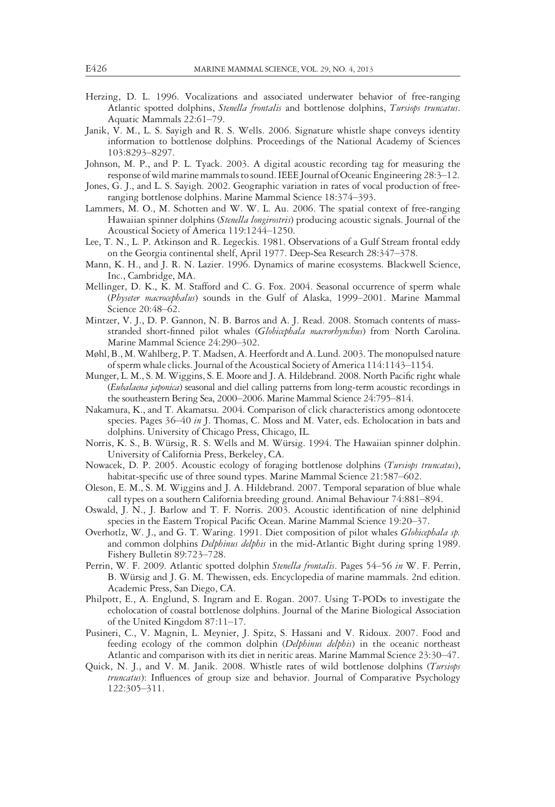- Herzing, D. L. 1996. Vocalizations and associated underwater behavior of free-ranging Atlantic spotted dolphins, Stenella frontalis and bottlenose dolphins, Tursiops truncatus. Aquatic Mammals 22:61–79.
- Janik, V. M., L. S. Sayigh and R. S. Wells. 2006. Signature whistle shape conveys identity information to bottlenose dolphins. Proceedings of the National Academy of Sciences 103:8293–8297.
- Johnson, M. P., and P. L. Tyack. 2003. A digital acoustic recording tag for measuring the response ofwildmarine mammals to sound. IEEE Journal of Oceanic Engineering 28:3–12.
- Jones, G. J., and L. S. Sayigh. 2002. Geographic variation in rates of vocal production of freeranging bottlenose dolphins. Marine Mammal Science 18:374–393.
- Lammers, M. O., M. Schotten and W. W. L. Au. 2006. The spatial context of free-ranging Hawaiian spinner dolphins (Stenella longirostris) producing acoustic signals. Journal of the Acoustical Society of America 119:1244–1250.
- Lee, T. N., L. P. Atkinson and R. Legeckis. 1981. Observations of a Gulf Stream frontal eddy on the Georgia continental shelf, April 1977. Deep-Sea Research 28:347–378.
- Mann, K. H., and J. R. N. Lazier. 1996. Dynamics of marine ecosystems. Blackwell Science, Inc., Cambridge, MA.
- Mellinger, D. K., K. M. Stafford and C. G. Fox. 2004. Seasonal occurrence of sperm whale (Physeter macrocephalus) sounds in the Gulf of Alaska, 1999–2001. Marine Mammal Science 20:48–62.
- Mintzer, V. J., D. P. Gannon, N. B. Barros and A. J. Read. 2008. Stomach contents of massstranded short-finned pilot whales (Globicephala macrorhynchus) from North Carolina. Marine Mammal Science 24:290–302.
- Møhl, B., M.Wahlberg, P. T. Madsen, A. Heerfordt and A. Lund. 2003. The monopulsed nature of sperm whale clicks. Journal of the Acoustical Society of America 114:1143–1154.
- Munger, L. M., S. M. Wiggins, S. E. Moore and J. A. Hildebrand. 2008. North Pacific right whale (Eubalaena japonica) seasonal and diel calling patterns from long-term acoustic recordings in the southeastern Bering Sea, 2000–2006. Marine Mammal Science 24:795–814.
- Nakamura, K., and T. Akamatsu. 2004. Comparison of click characteristics among odontocete species. Pages 36–40 in J. Thomas, C. Moss and M. Vater, eds. Echolocation in bats and dolphins. University of Chicago Press, Chicago, IL.
- Norris, K. S., B. Würsig, R. S. Wells and M. Würsig. 1994. The Hawaiian spinner dolphin. University of California Press, Berkeley, CA.
- Nowacek, D. P. 2005. Acoustic ecology of foraging bottlenose dolphins (Tursiops truncatus), habitat-specific use of three sound types. Marine Mammal Science 21:587–602.
- Oleson, E. M., S. M. Wiggins and J. A. Hildebrand. 2007. Temporal separation of blue whale call types on a southern California breeding ground. Animal Behaviour 74:881–894.
- Oswald, J. N., J. Barlow and T. F. Norris. 2003. Acoustic identification of nine delphinid species in the Eastern Tropical Pacific Ocean. Marine Mammal Science 19:20–37.
- Overhotlz, W. J., and G. T. Waring. 1991. Diet composition of pilot whales Globicephala sp. and common dolphins Delphinus delphis in the mid-Atlantic Bight during spring 1989. Fishery Bulletin 89:723–728.
- Perrin, W. F. 2009. Atlantic spotted dolphin Stenella frontalis. Pages 54–56 in W. F. Perrin, B. Würsig and J. G. M. Thewissen, eds. Encyclopedia of marine mammals. 2nd edition. Academic Press, San Diego, CA.
- Philpott, E., A. Englund, S. Ingram and E. Rogan. 2007. Using T-PODs to investigate the echolocation of coastal bottlenose dolphins. Journal of the Marine Biological Association of the United Kingdom 87:11–17.
- Pusineri, C., V. Magnin, L. Meynier, J. Spitz, S. Hassani and V. Ridoux. 2007. Food and feeding ecology of the common dolphin (Delphinus delphis) in the oceanic northeast Atlantic and comparison with its diet in neritic areas. Marine Mammal Science 23:30–47.
- Quick, N. J., and V. M. Janik. 2008. Whistle rates of wild bottlenose dolphins (Tursiops truncatus): Influences of group size and behavior. Journal of Comparative Psychology 122:305–311.